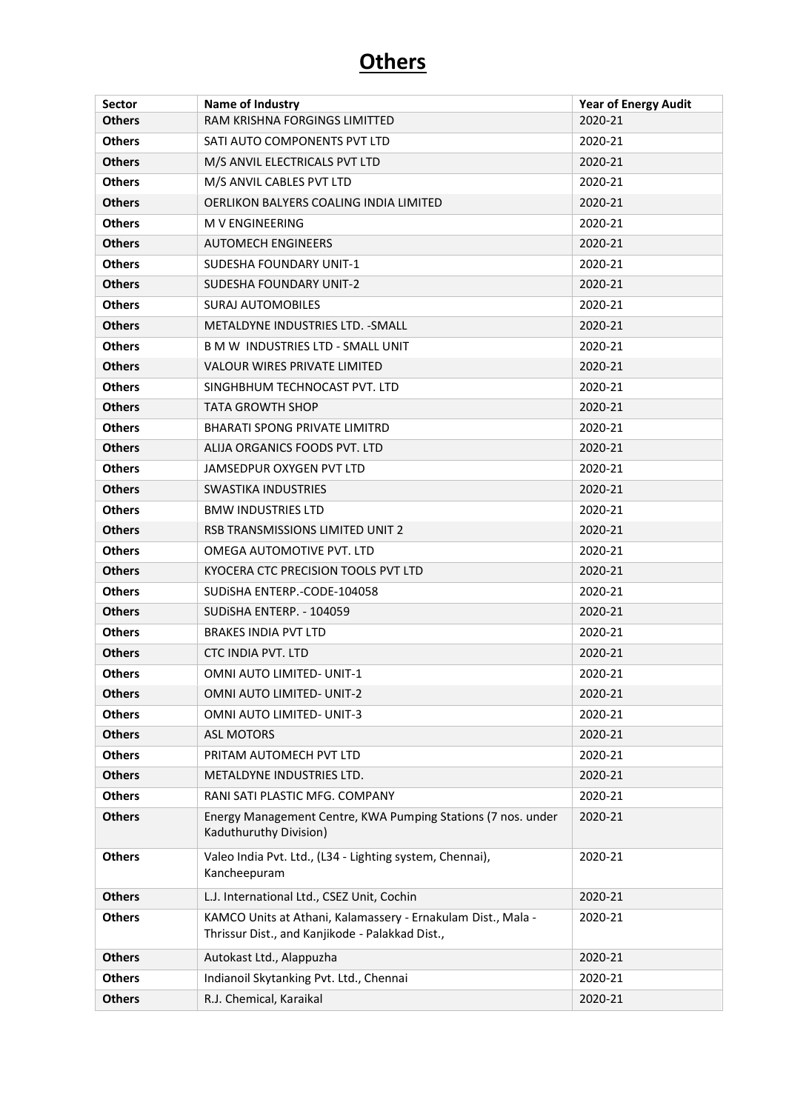| <b>Sector</b> | Name of Industry                                                                                                | <b>Year of Energy Audit</b> |
|---------------|-----------------------------------------------------------------------------------------------------------------|-----------------------------|
| <b>Others</b> | RAM KRISHNA FORGINGS LIMITTED                                                                                   | 2020-21                     |
| <b>Others</b> | SATI AUTO COMPONENTS PVT LTD                                                                                    | 2020-21                     |
| <b>Others</b> | M/S ANVIL ELECTRICALS PVT LTD                                                                                   | 2020-21                     |
| <b>Others</b> | M/S ANVIL CABLES PVT LTD                                                                                        | 2020-21                     |
| <b>Others</b> | OERLIKON BALYERS COALING INDIA LIMITED                                                                          | 2020-21                     |
| <b>Others</b> | <b>M V ENGINEERING</b>                                                                                          | 2020-21                     |
| <b>Others</b> | <b>AUTOMECH ENGINEERS</b>                                                                                       | 2020-21                     |
| <b>Others</b> | <b>SUDESHA FOUNDARY UNIT-1</b>                                                                                  | 2020-21                     |
| <b>Others</b> | SUDESHA FOUNDARY UNIT-2                                                                                         | 2020-21                     |
| <b>Others</b> | <b>SURAJ AUTOMOBILES</b>                                                                                        | 2020-21                     |
| <b>Others</b> | METALDYNE INDUSTRIES LTD. - SMALL                                                                               | 2020-21                     |
| <b>Others</b> | <b>B M W INDUSTRIES LTD - SMALL UNIT</b>                                                                        | 2020-21                     |
| <b>Others</b> | <b>VALOUR WIRES PRIVATE LIMITED</b>                                                                             | 2020-21                     |
| <b>Others</b> | SINGHBHUM TECHNOCAST PVT. LTD                                                                                   | 2020-21                     |
| <b>Others</b> | <b>TATA GROWTH SHOP</b>                                                                                         | 2020-21                     |
| <b>Others</b> | <b>BHARATI SPONG PRIVATE LIMITRD</b>                                                                            | 2020-21                     |
| <b>Others</b> | ALIJA ORGANICS FOODS PVT. LTD                                                                                   | 2020-21                     |
| <b>Others</b> | <b>JAMSEDPUR OXYGEN PVT LTD</b>                                                                                 | 2020-21                     |
| <b>Others</b> | <b>SWASTIKA INDUSTRIES</b>                                                                                      | 2020-21                     |
| <b>Others</b> | <b>BMW INDUSTRIES LTD</b>                                                                                       | 2020-21                     |
| <b>Others</b> | RSB TRANSMISSIONS LIMITED UNIT 2                                                                                | 2020-21                     |
| <b>Others</b> | OMEGA AUTOMOTIVE PVT. LTD                                                                                       | 2020-21                     |
| <b>Others</b> | KYOCERA CTC PRECISION TOOLS PVT LTD                                                                             | 2020-21                     |
| <b>Others</b> | SUDISHA ENTERP.-CODE-104058                                                                                     | 2020-21                     |
| <b>Others</b> | SUDISHA ENTERP. - 104059                                                                                        | 2020-21                     |
| <b>Others</b> | <b>BRAKES INDIA PVT LTD</b>                                                                                     | 2020-21                     |
| <b>Others</b> | <b>CTC INDIA PVT. LTD</b>                                                                                       | 2020-21                     |
| <b>Others</b> | <b>OMNI AUTO LIMITED- UNIT-1</b>                                                                                | 2020-21                     |
| <b>Others</b> | <b>OMNI AUTO LIMITED- UNIT-2</b>                                                                                | 2020-21                     |
| <b>Others</b> | OMNI AUTO LIMITED- UNIT-3                                                                                       | 2020-21                     |
| <b>Others</b> | <b>ASL MOTORS</b>                                                                                               | 2020-21                     |
| <b>Others</b> | PRITAM AUTOMECH PVT LTD                                                                                         | 2020-21                     |
| <b>Others</b> | METALDYNE INDUSTRIES LTD.                                                                                       | 2020-21                     |
| <b>Others</b> | RANI SATI PLASTIC MFG. COMPANY                                                                                  | 2020-21                     |
| <b>Others</b> | Energy Management Centre, KWA Pumping Stations (7 nos. under<br>Kaduthuruthy Division)                          | 2020-21                     |
| <b>Others</b> | Valeo India Pvt. Ltd., (L34 - Lighting system, Chennai),<br>Kancheepuram                                        | 2020-21                     |
| <b>Others</b> | L.J. International Ltd., CSEZ Unit, Cochin                                                                      | 2020-21                     |
| <b>Others</b> | KAMCO Units at Athani, Kalamassery - Ernakulam Dist., Mala -<br>Thrissur Dist., and Kanjikode - Palakkad Dist., | 2020-21                     |
| <b>Others</b> | Autokast Ltd., Alappuzha                                                                                        | 2020-21                     |
| <b>Others</b> | Indianoil Skytanking Pvt. Ltd., Chennai                                                                         | 2020-21                     |
| <b>Others</b> | R.J. Chemical, Karaikal                                                                                         | 2020-21                     |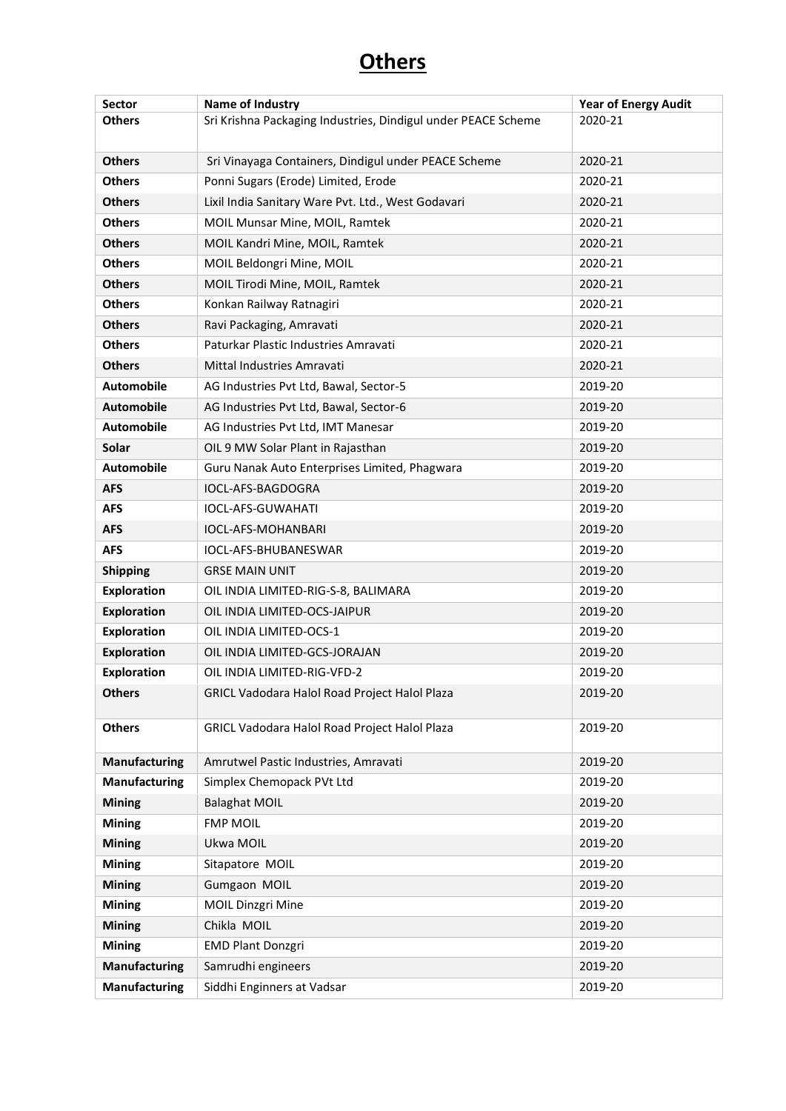| <b>Sector</b>        | Name of Industry                                              | <b>Year of Energy Audit</b> |
|----------------------|---------------------------------------------------------------|-----------------------------|
| <b>Others</b>        | Sri Krishna Packaging Industries, Dindigul under PEACE Scheme | 2020-21                     |
|                      |                                                               |                             |
| <b>Others</b>        | Sri Vinayaga Containers, Dindigul under PEACE Scheme          | 2020-21                     |
| <b>Others</b>        | Ponni Sugars (Erode) Limited, Erode                           | 2020-21                     |
| <b>Others</b>        | Lixil India Sanitary Ware Pvt. Ltd., West Godavari            | 2020-21                     |
| <b>Others</b>        | MOIL Munsar Mine, MOIL, Ramtek                                | 2020-21                     |
| <b>Others</b>        | MOIL Kandri Mine, MOIL, Ramtek                                | 2020-21                     |
| <b>Others</b>        | MOIL Beldongri Mine, MOIL                                     | 2020-21                     |
| <b>Others</b>        | MOIL Tirodi Mine, MOIL, Ramtek                                | 2020-21                     |
| <b>Others</b>        | Konkan Railway Ratnagiri                                      | 2020-21                     |
| <b>Others</b>        | Ravi Packaging, Amravati                                      | 2020-21                     |
| <b>Others</b>        | Paturkar Plastic Industries Amravati                          | 2020-21                     |
| <b>Others</b>        | Mittal Industries Amravati                                    | 2020-21                     |
| <b>Automobile</b>    | AG Industries Pvt Ltd, Bawal, Sector-5                        | 2019-20                     |
| <b>Automobile</b>    | AG Industries Pvt Ltd, Bawal, Sector-6                        | 2019-20                     |
| <b>Automobile</b>    | AG Industries Pvt Ltd, IMT Manesar                            | 2019-20                     |
| Solar                | OIL 9 MW Solar Plant in Rajasthan                             | 2019-20                     |
| <b>Automobile</b>    | Guru Nanak Auto Enterprises Limited, Phagwara                 | 2019-20                     |
| <b>AFS</b>           | IOCL-AFS-BAGDOGRA                                             | 2019-20                     |
| <b>AFS</b>           | <b>IOCL-AFS-GUWAHATI</b>                                      | 2019-20                     |
| <b>AFS</b>           | IOCL-AFS-MOHANBARI                                            | 2019-20                     |
| <b>AFS</b>           | IOCL-AFS-BHUBANESWAR                                          | 2019-20                     |
| <b>Shipping</b>      | <b>GRSE MAIN UNIT</b>                                         | 2019-20                     |
| <b>Exploration</b>   | OIL INDIA LIMITED-RIG-S-8, BALIMARA                           | 2019-20                     |
| <b>Exploration</b>   | OIL INDIA LIMITED-OCS-JAIPUR                                  | 2019-20                     |
| <b>Exploration</b>   | OIL INDIA LIMITED-OCS-1                                       | 2019-20                     |
| <b>Exploration</b>   | OIL INDIA LIMITED-GCS-JORAJAN                                 | 2019-20                     |
| <b>Exploration</b>   | OIL INDIA LIMITED-RIG-VFD-2                                   | 2019-20                     |
| <b>Others</b>        | GRICL Vadodara Halol Road Project Halol Plaza                 | 2019-20                     |
| <b>Others</b>        | GRICL Vadodara Halol Road Project Halol Plaza                 | 2019-20                     |
| <b>Manufacturing</b> | Amrutwel Pastic Industries, Amravati                          | 2019-20                     |
| <b>Manufacturing</b> | Simplex Chemopack PVt Ltd                                     | 2019-20                     |
| <b>Mining</b>        | <b>Balaghat MOIL</b>                                          | 2019-20                     |
| <b>Mining</b>        | <b>FMP MOIL</b>                                               | 2019-20                     |
| <b>Mining</b>        | Ukwa MOIL                                                     | 2019-20                     |
| <b>Mining</b>        | Sitapatore MOIL                                               | 2019-20                     |
| <b>Mining</b>        | Gumgaon MOIL                                                  | 2019-20                     |
| <b>Mining</b>        | <b>MOIL Dinzgri Mine</b>                                      | 2019-20                     |
| <b>Mining</b>        | Chikla MOIL                                                   | 2019-20                     |
| <b>Mining</b>        | <b>EMD Plant Donzgri</b>                                      | 2019-20                     |
| <b>Manufacturing</b> | Samrudhi engineers                                            | 2019-20                     |
| <b>Manufacturing</b> | Siddhi Enginners at Vadsar                                    | 2019-20                     |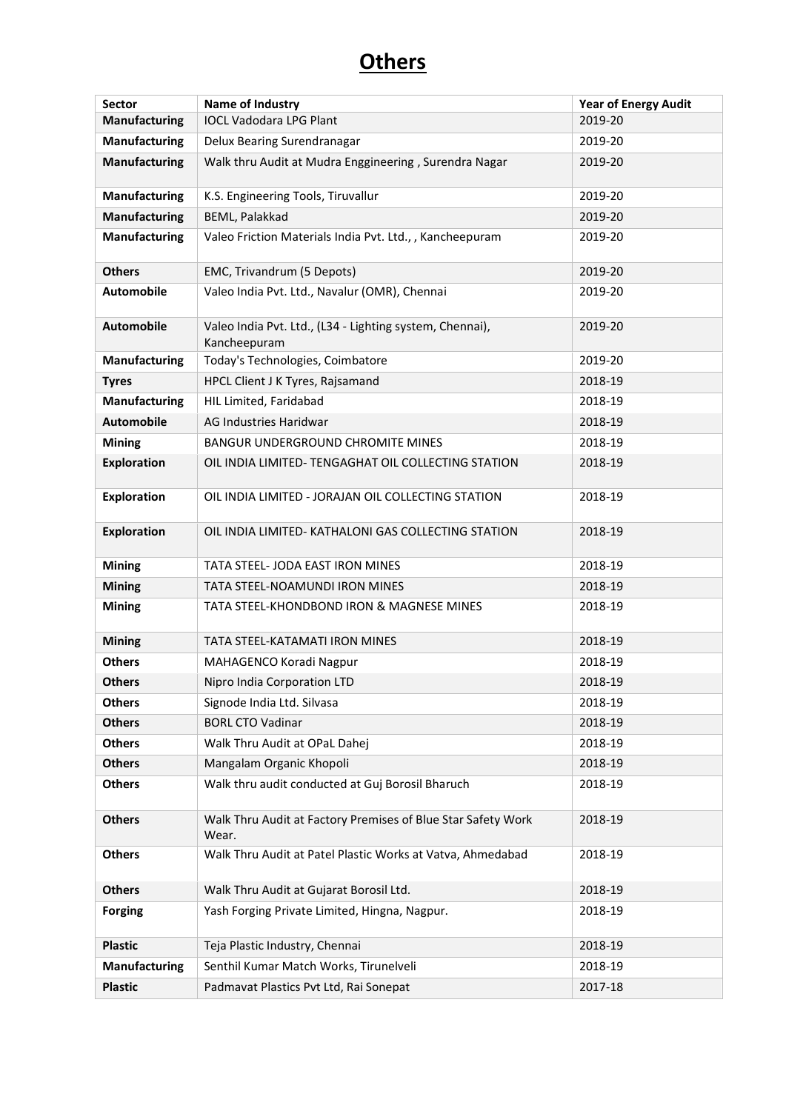| <b>Sector</b>        | Name of Industry                                                         | <b>Year of Energy Audit</b> |
|----------------------|--------------------------------------------------------------------------|-----------------------------|
| <b>Manufacturing</b> | <b>IOCL Vadodara LPG Plant</b>                                           | 2019-20                     |
| Manufacturing        | Delux Bearing Surendranagar                                              | 2019-20                     |
| Manufacturing        | Walk thru Audit at Mudra Enggineering, Surendra Nagar                    | 2019-20                     |
| Manufacturing        | K.S. Engineering Tools, Tiruvallur                                       | 2019-20                     |
| Manufacturing        | BEML, Palakkad                                                           | 2019-20                     |
| Manufacturing        | Valeo Friction Materials India Pvt. Ltd., , Kancheepuram                 | 2019-20                     |
| <b>Others</b>        | EMC, Trivandrum (5 Depots)                                               | 2019-20                     |
| <b>Automobile</b>    | Valeo India Pvt. Ltd., Navalur (OMR), Chennai                            | 2019-20                     |
| Automobile           | Valeo India Pvt. Ltd., (L34 - Lighting system, Chennai),<br>Kancheepuram | 2019-20                     |
| Manufacturing        | Today's Technologies, Coimbatore                                         | 2019-20                     |
| <b>Tyres</b>         | HPCL Client J K Tyres, Rajsamand                                         | 2018-19                     |
| <b>Manufacturing</b> | HIL Limited, Faridabad                                                   | 2018-19                     |
| <b>Automobile</b>    | AG Industries Haridwar                                                   | 2018-19                     |
| <b>Mining</b>        | BANGUR UNDERGROUND CHROMITE MINES                                        | 2018-19                     |
| <b>Exploration</b>   | OIL INDIA LIMITED- TENGAGHAT OIL COLLECTING STATION                      | 2018-19                     |
| <b>Exploration</b>   | OIL INDIA LIMITED - JORAJAN OIL COLLECTING STATION                       | 2018-19                     |
| <b>Exploration</b>   | OIL INDIA LIMITED- KATHALONI GAS COLLECTING STATION                      | 2018-19                     |
| <b>Mining</b>        | TATA STEEL- JODA EAST IRON MINES                                         | 2018-19                     |
| <b>Mining</b>        | TATA STEEL-NOAMUNDI IRON MINES                                           | 2018-19                     |
| <b>Mining</b>        | TATA STEEL-KHONDBOND IRON & MAGNESE MINES                                | 2018-19                     |
| <b>Mining</b>        | TATA STEEL-KATAMATI IRON MINES                                           | 2018-19                     |
| <b>Others</b>        | MAHAGENCO Koradi Nagpur                                                  | 2018-19                     |
| <b>Others</b>        | Nipro India Corporation LTD                                              | 2018-19                     |
| <b>Others</b>        | Signode India Ltd. Silvasa                                               | 2018-19                     |
| <b>Others</b>        | <b>BORL CTO Vadinar</b>                                                  | 2018-19                     |
| <b>Others</b>        | Walk Thru Audit at OPaL Dahej                                            | 2018-19                     |
| <b>Others</b>        | Mangalam Organic Khopoli                                                 | 2018-19                     |
| <b>Others</b>        | Walk thru audit conducted at Guj Borosil Bharuch                         | 2018-19                     |
| <b>Others</b>        | Walk Thru Audit at Factory Premises of Blue Star Safety Work<br>Wear.    | 2018-19                     |
| <b>Others</b>        | Walk Thru Audit at Patel Plastic Works at Vatva, Ahmedabad               | 2018-19                     |
| <b>Others</b>        | Walk Thru Audit at Gujarat Borosil Ltd.                                  | 2018-19                     |
| <b>Forging</b>       | Yash Forging Private Limited, Hingna, Nagpur.                            | 2018-19                     |
| <b>Plastic</b>       | Teja Plastic Industry, Chennai                                           | 2018-19                     |
| <b>Manufacturing</b> | Senthil Kumar Match Works, Tirunelveli                                   | 2018-19                     |
| <b>Plastic</b>       | Padmavat Plastics Pvt Ltd, Rai Sonepat                                   | 2017-18                     |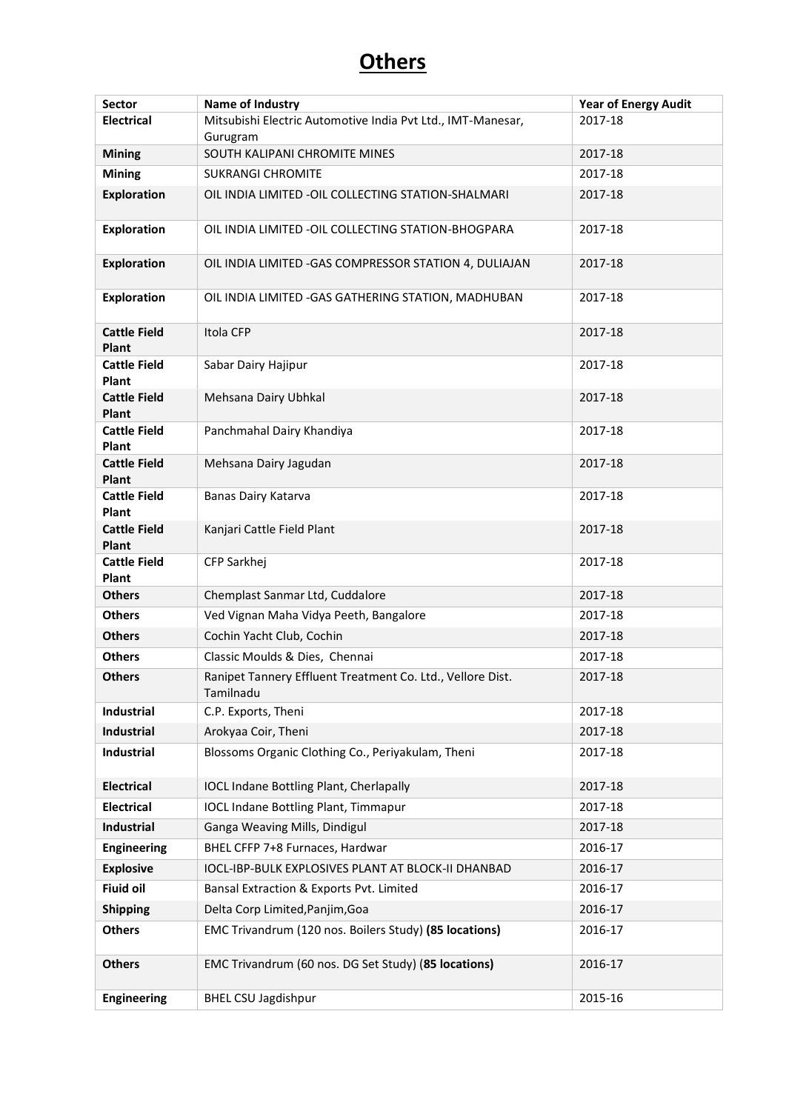| Sector                              | Name of Industry                                                        | <b>Year of Energy Audit</b> |
|-------------------------------------|-------------------------------------------------------------------------|-----------------------------|
| <b>Electrical</b>                   | Mitsubishi Electric Automotive India Pvt Ltd., IMT-Manesar,<br>Gurugram | 2017-18                     |
| <b>Mining</b>                       | SOUTH KALIPANI CHROMITE MINES                                           | 2017-18                     |
| <b>Mining</b>                       | <b>SUKRANGI CHROMITE</b>                                                | 2017-18                     |
| <b>Exploration</b>                  | OIL INDIA LIMITED - OIL COLLECTING STATION-SHALMARI                     | 2017-18                     |
| <b>Exploration</b>                  | OIL INDIA LIMITED - OIL COLLECTING STATION-BHOGPARA                     | 2017-18                     |
| <b>Exploration</b>                  | OIL INDIA LIMITED - GAS COMPRESSOR STATION 4, DULIAJAN                  | 2017-18                     |
| <b>Exploration</b>                  | OIL INDIA LIMITED - GAS GATHERING STATION, MADHUBAN                     | 2017-18                     |
| <b>Cattle Field</b><br><b>Plant</b> | Itola CFP                                                               | 2017-18                     |
| <b>Cattle Field</b><br>Plant        | Sabar Dairy Hajipur                                                     | 2017-18                     |
| <b>Cattle Field</b><br>Plant        | Mehsana Dairy Ubhkal                                                    | 2017-18                     |
| <b>Cattle Field</b><br>Plant        | Panchmahal Dairy Khandiya                                               | 2017-18                     |
| <b>Cattle Field</b><br>Plant        | Mehsana Dairy Jagudan                                                   | 2017-18                     |
| <b>Cattle Field</b><br><b>Plant</b> | Banas Dairy Katarva                                                     | 2017-18                     |
| <b>Cattle Field</b><br>Plant        | Kanjari Cattle Field Plant                                              | 2017-18                     |
| <b>Cattle Field</b><br>Plant        | CFP Sarkhej                                                             | 2017-18                     |
| <b>Others</b>                       | Chemplast Sanmar Ltd, Cuddalore                                         | 2017-18                     |
| <b>Others</b>                       | Ved Vignan Maha Vidya Peeth, Bangalore                                  | 2017-18                     |
| <b>Others</b>                       | Cochin Yacht Club, Cochin                                               | 2017-18                     |
| <b>Others</b>                       | Classic Moulds & Dies, Chennai                                          | 2017-18                     |
| <b>Others</b>                       | Ranipet Tannery Effluent Treatment Co. Ltd., Vellore Dist.<br>Tamilnadu | 2017-18                     |
| Industrial                          | C.P. Exports, Theni                                                     | 2017-18                     |
| Industrial                          | Arokyaa Coir, Theni                                                     | 2017-18                     |
| <b>Industrial</b>                   | Blossoms Organic Clothing Co., Periyakulam, Theni                       | 2017-18                     |
| <b>Electrical</b>                   | <b>IOCL Indane Bottling Plant, Cherlapally</b>                          | 2017-18                     |
| <b>Electrical</b>                   | <b>IOCL Indane Bottling Plant, Timmapur</b>                             | 2017-18                     |
| Industrial                          | Ganga Weaving Mills, Dindigul                                           | 2017-18                     |
| <b>Engineering</b>                  | BHEL CFFP 7+8 Furnaces, Hardwar                                         | 2016-17                     |
| <b>Explosive</b>                    | IOCL-IBP-BULK EXPLOSIVES PLANT AT BLOCK-II DHANBAD                      | 2016-17                     |
| <b>Fiuid oil</b>                    | Bansal Extraction & Exports Pvt. Limited                                | 2016-17                     |
| <b>Shipping</b>                     | Delta Corp Limited, Panjim, Goa                                         | 2016-17                     |
| <b>Others</b>                       | EMC Trivandrum (120 nos. Boilers Study) (85 locations)                  | 2016-17                     |
| <b>Others</b>                       | EMC Trivandrum (60 nos. DG Set Study) (85 locations)                    | 2016-17                     |
| <b>Engineering</b>                  | <b>BHEL CSU Jagdishpur</b>                                              | 2015-16                     |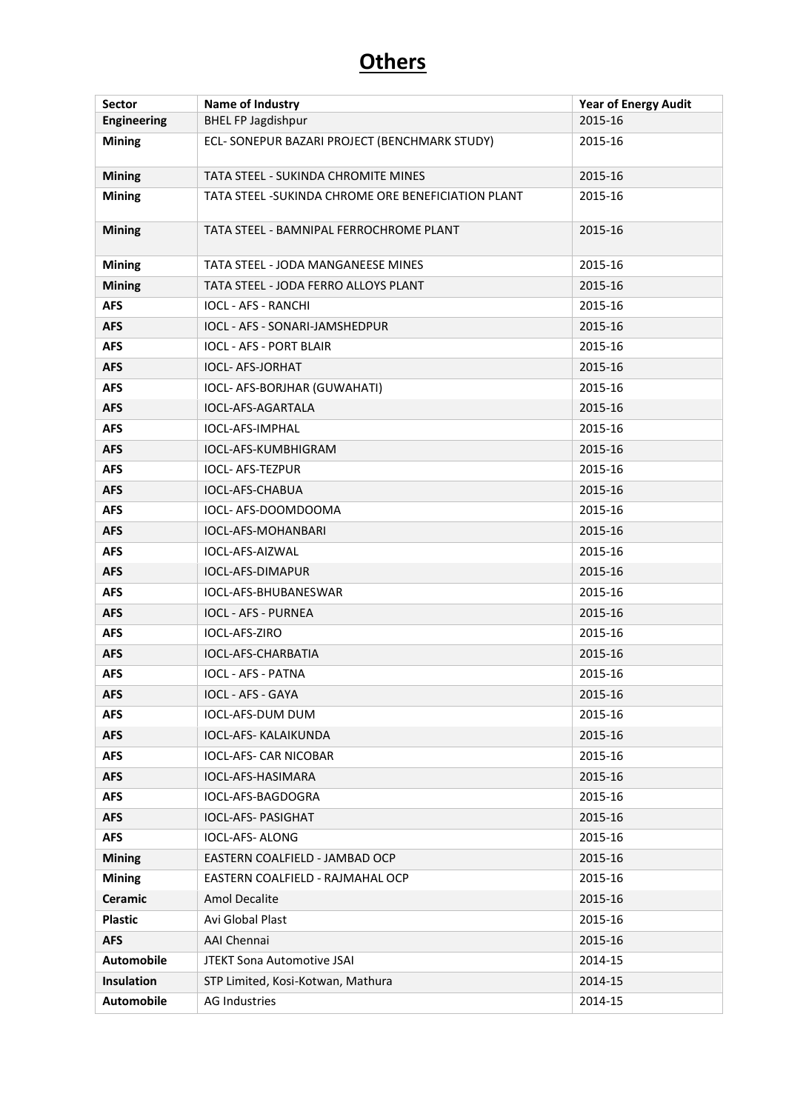| <b>Sector</b>      | Name of Industry                                    | <b>Year of Energy Audit</b> |
|--------------------|-----------------------------------------------------|-----------------------------|
| <b>Engineering</b> | <b>BHEL FP Jagdishpur</b>                           | 2015-16                     |
| <b>Mining</b>      | ECL- SONEPUR BAZARI PROJECT (BENCHMARK STUDY)       | 2015-16                     |
| <b>Mining</b>      | <b>TATA STEEL - SUKINDA CHROMITE MINES</b>          | 2015-16                     |
| <b>Mining</b>      | TATA STEEL - SUKINDA CHROME ORE BENEFICIATION PLANT | 2015-16                     |
| <b>Mining</b>      | TATA STEEL - BAMNIPAL FERROCHROME PLANT             | 2015-16                     |
| <b>Mining</b>      | <b>TATA STEEL - JODA MANGANEESE MINES</b>           | 2015-16                     |
| <b>Mining</b>      | TATA STEEL - JODA FERRO ALLOYS PLANT                | 2015-16                     |
| <b>AFS</b>         | <b>IOCL - AFS - RANCHI</b>                          | 2015-16                     |
| <b>AFS</b>         | IOCL - AFS - SONARI-JAMSHEDPUR                      | 2015-16                     |
| <b>AFS</b>         | <b>IOCL - AFS - PORT BLAIR</b>                      | 2015-16                     |
| <b>AFS</b>         | <b>IOCL- AFS-JORHAT</b>                             | 2015-16                     |
| <b>AFS</b>         | IOCL- AFS-BORJHAR (GUWAHATI)                        | 2015-16                     |
| <b>AFS</b>         | <b>IOCL-AFS-AGARTALA</b>                            | 2015-16                     |
| <b>AFS</b>         | IOCL-AFS-IMPHAL                                     | 2015-16                     |
| <b>AFS</b>         | IOCL-AFS-KUMBHIGRAM                                 | 2015-16                     |
| <b>AFS</b>         | <b>IOCL- AFS-TEZPUR</b>                             | 2015-16                     |
| <b>AFS</b>         | IOCL-AFS-CHABUA                                     | 2015-16                     |
| <b>AFS</b>         | IOCL- AFS-DOOMDOOMA                                 | 2015-16                     |
| <b>AFS</b>         | IOCL-AFS-MOHANBARI                                  | 2015-16                     |
| <b>AFS</b>         | <b>IOCL-AFS-AIZWAL</b>                              | 2015-16                     |
| <b>AFS</b>         | IOCL-AFS-DIMAPUR                                    | 2015-16                     |
| <b>AFS</b>         | IOCL-AFS-BHUBANESWAR                                | 2015-16                     |
| <b>AFS</b>         | <b>IOCL - AFS - PURNEA</b>                          | 2015-16                     |
| <b>AFS</b>         | IOCL-AFS-ZIRO                                       | 2015-16                     |
| <b>AFS</b>         | <b>IOCL-AFS-CHARBATIA</b>                           | 2015-16                     |
| <b>AFS</b>         | <b>IOCL - AFS - PATNA</b>                           | 2015-16                     |
| <b>AFS</b>         | <b>IOCL - AFS - GAYA</b>                            | 2015-16                     |
| <b>AFS</b>         | IOCL-AFS-DUM DUM                                    | 2015-16                     |
| <b>AFS</b>         | IOCL-AFS- KALAIKUNDA                                | 2015-16                     |
| <b>AFS</b>         | <b>IOCL-AFS- CAR NICOBAR</b>                        | 2015-16                     |
| <b>AFS</b>         | <b>IOCL-AFS-HASIMARA</b>                            | 2015-16                     |
| <b>AFS</b>         | IOCL-AFS-BAGDOGRA                                   | 2015-16                     |
| <b>AFS</b>         | <b>IOCL-AFS- PASIGHAT</b>                           | 2015-16                     |
| <b>AFS</b>         | <b>IOCL-AFS- ALONG</b>                              | 2015-16                     |
| <b>Mining</b>      | EASTERN COALFIELD - JAMBAD OCP                      | 2015-16                     |
| <b>Mining</b>      | EASTERN COALFIELD - RAJMAHAL OCP                    | 2015-16                     |
| <b>Ceramic</b>     | <b>Amol Decalite</b>                                | 2015-16                     |
| <b>Plastic</b>     | Avi Global Plast                                    | 2015-16                     |
| <b>AFS</b>         | AAI Chennai                                         | 2015-16                     |
| <b>Automobile</b>  | <b>JTEKT Sona Automotive JSAI</b>                   | 2014-15                     |
| <b>Insulation</b>  | STP Limited, Kosi-Kotwan, Mathura                   | 2014-15                     |
| <b>Automobile</b>  | AG Industries                                       | 2014-15                     |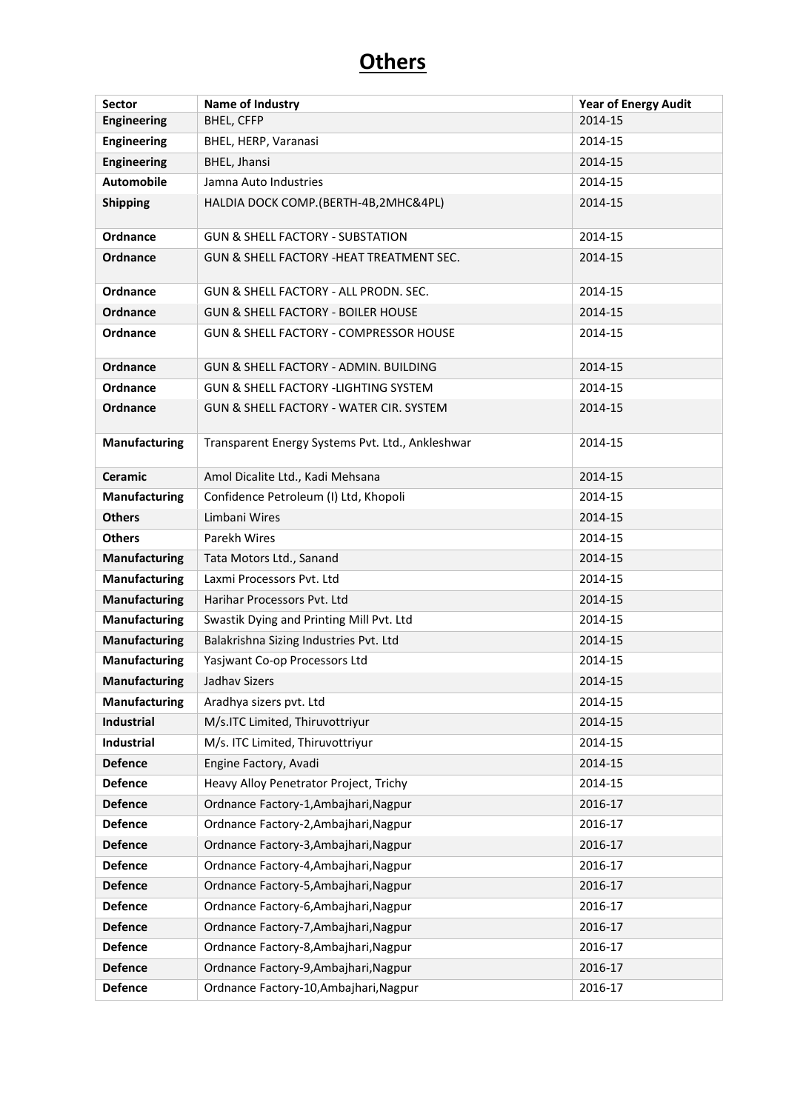| Sector               | Name of Industry                                 | <b>Year of Energy Audit</b> |
|----------------------|--------------------------------------------------|-----------------------------|
| <b>Engineering</b>   | <b>BHEL, CFFP</b>                                | 2014-15                     |
| <b>Engineering</b>   | BHEL, HERP, Varanasi                             | 2014-15                     |
| <b>Engineering</b>   | BHEL, Jhansi                                     | 2014-15                     |
| <b>Automobile</b>    | Jamna Auto Industries                            | 2014-15                     |
| <b>Shipping</b>      | HALDIA DOCK COMP.(BERTH-4B,2MHC&4PL)             | 2014-15                     |
| Ordnance             | <b>GUN &amp; SHELL FACTORY - SUBSTATION</b>      | 2014-15                     |
| Ordnance             | GUN & SHELL FACTORY -HEAT TREATMENT SEC.         | 2014-15                     |
| Ordnance             | GUN & SHELL FACTORY - ALL PRODN. SEC.            | 2014-15                     |
| <b>Ordnance</b>      | <b>GUN &amp; SHELL FACTORY - BOILER HOUSE</b>    | 2014-15                     |
| Ordnance             | GUN & SHELL FACTORY - COMPRESSOR HOUSE           | 2014-15                     |
| <b>Ordnance</b>      | GUN & SHELL FACTORY - ADMIN. BUILDING            | 2014-15                     |
| Ordnance             | GUN & SHELL FACTORY -LIGHTING SYSTEM             | 2014-15                     |
| <b>Ordnance</b>      | GUN & SHELL FACTORY - WATER CIR. SYSTEM          | 2014-15                     |
| <b>Manufacturing</b> | Transparent Energy Systems Pvt. Ltd., Ankleshwar | 2014-15                     |
| <b>Ceramic</b>       | Amol Dicalite Ltd., Kadi Mehsana                 | 2014-15                     |
| <b>Manufacturing</b> | Confidence Petroleum (I) Ltd, Khopoli            | 2014-15                     |
| <b>Others</b>        | Limbani Wires                                    | 2014-15                     |
| <b>Others</b>        | Parekh Wires                                     | 2014-15                     |
| <b>Manufacturing</b> | Tata Motors Ltd., Sanand                         | 2014-15                     |
| <b>Manufacturing</b> | Laxmi Processors Pvt. Ltd                        | 2014-15                     |
| <b>Manufacturing</b> | Harihar Processors Pvt. Ltd                      | 2014-15                     |
| <b>Manufacturing</b> | Swastik Dying and Printing Mill Pvt. Ltd         | 2014-15                     |
| <b>Manufacturing</b> | Balakrishna Sizing Industries Pvt. Ltd           | 2014-15                     |
| <b>Manufacturing</b> | Yasjwant Co-op Processors Ltd                    | 2014-15                     |
| <b>Manufacturing</b> | Jadhay Sizers                                    | 2014-15                     |
| <b>Manufacturing</b> | Aradhya sizers pvt. Ltd                          | 2014-15                     |
| Industrial           | M/s.ITC Limited, Thiruvottriyur                  | 2014-15                     |
| Industrial           | M/s. ITC Limited, Thiruvottriyur                 | 2014-15                     |
| <b>Defence</b>       | Engine Factory, Avadi                            | 2014-15                     |
| <b>Defence</b>       | Heavy Alloy Penetrator Project, Trichy           | 2014-15                     |
| <b>Defence</b>       | Ordnance Factory-1, Ambajhari, Nagpur            | 2016-17                     |
| <b>Defence</b>       | Ordnance Factory-2, Ambajhari, Nagpur            | 2016-17                     |
| <b>Defence</b>       | Ordnance Factory-3, Ambajhari, Nagpur            | 2016-17                     |
| <b>Defence</b>       | Ordnance Factory-4, Ambajhari, Nagpur            | 2016-17                     |
| <b>Defence</b>       | Ordnance Factory-5, Ambajhari, Nagpur            | 2016-17                     |
| <b>Defence</b>       | Ordnance Factory-6, Ambajhari, Nagpur            | 2016-17                     |
| <b>Defence</b>       | Ordnance Factory-7, Ambajhari, Nagpur            | 2016-17                     |
| <b>Defence</b>       | Ordnance Factory-8, Ambajhari, Nagpur            | 2016-17                     |
| <b>Defence</b>       | Ordnance Factory-9, Ambajhari, Nagpur            | 2016-17                     |
| <b>Defence</b>       | Ordnance Factory-10, Ambajhari, Nagpur           | 2016-17                     |